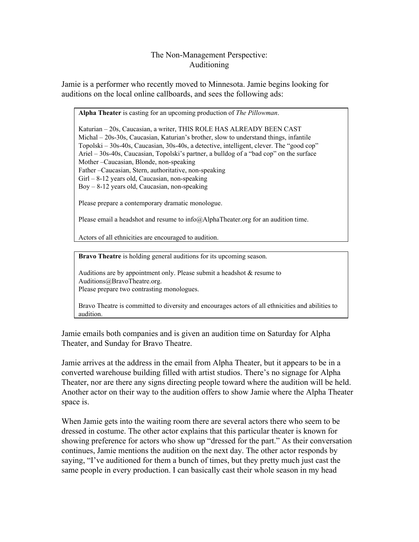## The Non-Management Perspective: Auditioning

Jamie is a performer who recently moved to Minnesota. Jamie begins looking for auditions on the local online callboards, and sees the following ads:

**Alpha Theater** is casting for an upcoming production of *The Pillowman*.

Katurian – 20s, Caucasian, a writer, THIS ROLE HAS ALREADY BEEN CAST  $Michael - 20s-30s$ , Caucasian, Katurian's brother, slow to understand things, infantile Topolski – 30s-40s, Caucasian, 30s-40s, a detective, intelligent, clever. The "good cop" Ariel – 30s-40s, Caucasian, Topolski's partner, a bulldog of a "bad cop" on the surface Mother –Caucasian, Blonde, non-speaking Father –Caucasian, Stern, authoritative, non-speaking  $Girl - 8-12$  years old, Caucasian, non-speaking  $Boy - 8-12$  years old, Caucasian, non-speaking

Please prepare a contemporary dramatic monologue.

Please email a headshot and resume to info@AlphaTheater.org for an audition time.

Actors of all ethnicities are encouraged to audition.

**Bravo Theatre** is holding general auditions for its upcoming season.

Auditions are by appointment only. Please submit a headshot & resume to Auditions@BravoTheatre.org.

Please prepare two contrasting monologues.

Bravo Theatre is committed to diversity and encourages actors of all ethnicities and abilities to audition.

Jamie emails both companies and is given an audition time on Saturday for Alpha Theater, and Sunday for Bravo Theatre.

Jamie arrives at the address in the email from Alpha Theater, but it appears to be in a converted warehouse building filled with artist studios. There's no signage for Alpha Theater, nor are there any signs directing people toward where the audition will be held. Another actor on their way to the audition offers to show Jamie where the Alpha Theater space is.

When Jamie gets into the waiting room there are several actors there who seem to be dressed in costume. The other actor explains that this particular theater is known for showing preference for actors who show up "dressed for the part." As their conversation continues, Jamie mentions the audition on the next day. The other actor responds by saying, "I've auditioned for them a bunch of times, but they pretty much just cast the same people in every production. I can basically cast their whole season in my head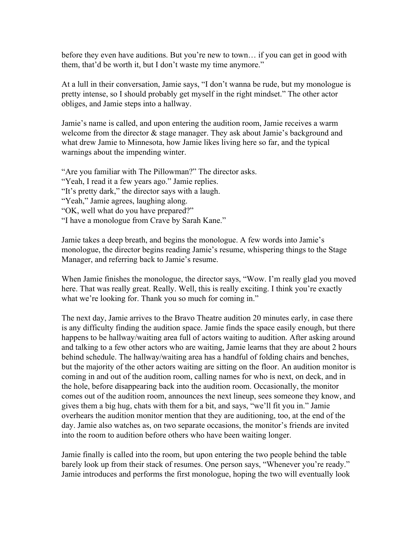before they even have auditions. But you're new to town… if you can get in good with them, that'd be worth it, but I don't waste my time anymore."

At a lull in their conversation, Jamie says, "I don't wanna be rude, but my monologue is pretty intense, so I should probably get myself in the right mindset." The other actor obliges, and Jamie steps into a hallway.

Jamie's name is called, and upon entering the audition room, Jamie receives a warm welcome from the director  $\&$  stage manager. They ask about Jamie's background and what drew Jamie to Minnesota, how Jamie likes living here so far, and the typical warnings about the impending winter.

"Are you familiar with The Pillowman?" The director asks. "Yeah, I read it a few years ago." Jamie replies. "It's pretty dark," the director says with a laugh. "Yeah," Jamie agrees, laughing along. "OK, well what do you have prepared?" "I have a monologue from Crave by Sarah Kane."

Jamie takes a deep breath, and begins the monologue. A few words into Jamie's monologue, the director begins reading Jamie's resume, whispering things to the Stage Manager, and referring back to Jamie's resume.

When Jamie finishes the monologue, the director says, "Wow. I'm really glad you moved here. That was really great. Really. Well, this is really exciting. I think you're exactly what we're looking for. Thank you so much for coming in."

The next day, Jamie arrives to the Bravo Theatre audition 20 minutes early, in case there is any difficulty finding the audition space. Jamie finds the space easily enough, but there happens to be hallway/waiting area full of actors waiting to audition. After asking around and talking to a few other actors who are waiting, Jamie learns that they are about 2 hours behind schedule. The hallway/waiting area has a handful of folding chairs and benches, but the majority of the other actors waiting are sitting on the floor. An audition monitor is coming in and out of the audition room, calling names for who is next, on deck, and in the hole, before disappearing back into the audition room. Occasionally, the monitor comes out of the audition room, announces the next lineup, sees someone they know, and gives them a big hug, chats with them for a bit, and says, "we'll fit you in." Jamie overhears the audition monitor mention that they are auditioning, too, at the end of the day. Jamie also watches as, on two separate occasions, the monitor's friends are invited into the room to audition before others who have been waiting longer.

Jamie finally is called into the room, but upon entering the two people behind the table barely look up from their stack of resumes. One person says, "Whenever you're ready." Jamie introduces and performs the first monologue, hoping the two will eventually look